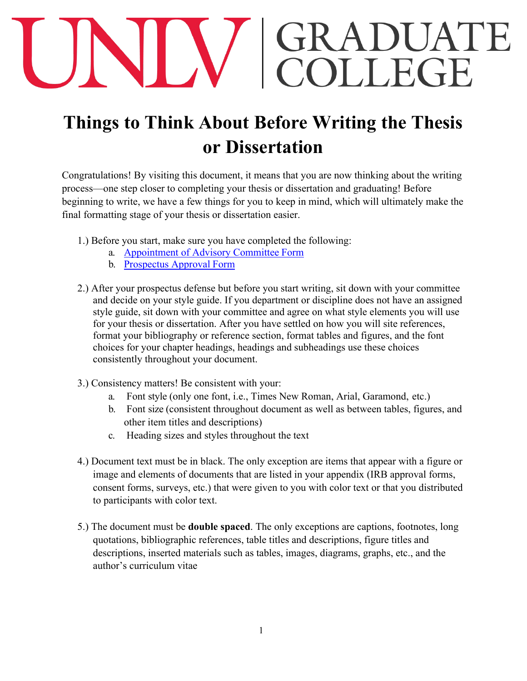## GRADUATE<br>COLLEGE

## **Things to Think About Before Writing the Thesis or Dissertation**

Congratulations! By visiting this document, it means that you are now thinking about the writing process—one step closer to completing your thesis or dissertation and graduating! Before beginning to write, we have a few things for you to keep in mind, which will ultimately make the final formatting stage of your thesis or dissertation easier.

- 1.) Before you start, make sure you have completed the following:
	- a. [Appointment of Advisory Committee](https://unlv-gradcollege.force.com/GradRebelGateway/ERx_Forms__Portal_Login) Form
	- b. [Prospectus Approval](https://unlv-gradcollege.force.com/GradRebelGateway/ERx_Forms__Portal_Login) Form
- 2.) After your prospectus defense but before you start writing, sit down with your committee and decide on your style guide. If you department or discipline does not have an assigned style guide, sit down with your committee and agree on what style elements you will use for your thesis or dissertation. After you have settled on how you will site references, format your bibliography or reference section, format tables and figures, and the font choices for your chapter headings, headings and subheadings use these choices consistently throughout your document.
- 3.) Consistency matters! Be consistent with your:
	- a. Font style (only one font, i.e., Times New Roman, Arial, Garamond, etc.)
	- b. Font size (consistent throughout document as well as between tables, figures, and other item titles and descriptions)
	- c. Heading sizes and styles throughout the text
- 4.) Document text must be in black. The only exception are items that appear with a figure or image and elements of documents that are listed in your appendix (IRB approval forms, consent forms, surveys, etc.) that were given to you with color text or that you distributed to participants with color text.
- 5.) The document must be **double spaced**. The only exceptions are captions, footnotes, long quotations, bibliographic references, table titles and descriptions, figure titles and descriptions, inserted materials such as tables, images, diagrams, graphs, etc., and the author's curriculum vitae